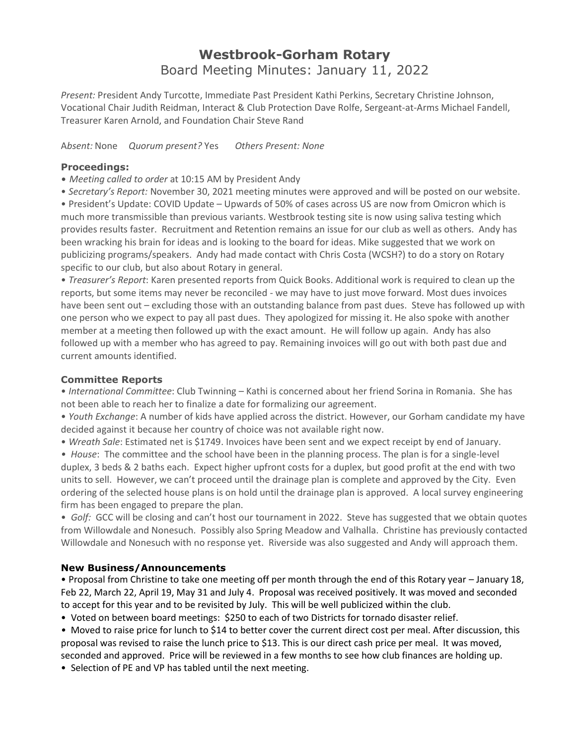## **Westbrook-Gorham Rotary** Board Meeting Minutes: January 11, 2022

*Present:* President Andy Turcotte, Immediate Past President Kathi Perkins, Secretary Christine Johnson, Vocational Chair Judith Reidman, Interact & Club Protection Dave Rolfe, Sergeant-at-Arms Michael Fandell, Treasurer Karen Arnold, and Foundation Chair Steve Rand

A*bsent:* None *Quorum present?* Yes *Others Present: None*

## **Proceedings:**

- *Meeting called to order* at 10:15 AM by President Andy
- *Secretary's Report:* November 30, 2021 meeting minutes were approved and will be posted on our website.

• President's Update: COVID Update – Upwards of 50% of cases across US are now from Omicron which is much more transmissible than previous variants. Westbrook testing site is now using saliva testing which provides results faster. Recruitment and Retention remains an issue for our club as well as others. Andy has been wracking his brain for ideas and is looking to the board for ideas. Mike suggested that we work on publicizing programs/speakers. Andy had made contact with Chris Costa (WCSH?) to do a story on Rotary specific to our club, but also about Rotary in general.

• *Treasurer's Report*: Karen presented reports from Quick Books. Additional work is required to clean up the reports, but some items may never be reconciled - we may have to just move forward. Most dues invoices have been sent out – excluding those with an outstanding balance from past dues. Steve has followed up with one person who we expect to pay all past dues. They apologized for missing it. He also spoke with another member at a meeting then followed up with the exact amount. He will follow up again. Andy has also followed up with a member who has agreed to pay. Remaining invoices will go out with both past due and current amounts identified.

## **Committee Reports**

• *International Committee*: Club Twinning – Kathi is concerned about her friend Sorina in Romania. She has not been able to reach her to finalize a date for formalizing our agreement.

• *Youth Exchange*: A number of kids have applied across the district. However, our Gorham candidate my have decided against it because her country of choice was not available right now.

• *Wreath Sale*: Estimated net is \$1749. Invoices have been sent and we expect receipt by end of January.

*• House*: The committee and the school have been in the planning process. The plan is for a single-level duplex, 3 beds & 2 baths each. Expect higher upfront costs for a duplex, but good profit at the end with two units to sell. However, we can't proceed until the drainage plan is complete and approved by the City. Even ordering of the selected house plans is on hold until the drainage plan is approved. A local survey engineering firm has been engaged to prepare the plan.

• *Golf:* GCC will be closing and can't host our tournament in 2022. Steve has suggested that we obtain quotes from Willowdale and Nonesuch. Possibly also Spring Meadow and Valhalla. Christine has previously contacted Willowdale and Nonesuch with no response yet. Riverside was also suggested and Andy will approach them.

## **New Business/Announcements**

• Proposal from Christine to take one meeting off per month through the end of this Rotary year – January 18, Feb 22, March 22, April 19, May 31 and July 4. Proposal was received positively. It was moved and seconded to accept for this year and to be revisited by July. This will be well publicized within the club.

- Voted on between board meetings: \$250 to each of two Districts for tornado disaster relief.
- Moved to raise price for lunch to \$14 to better cover the current direct cost per meal. After discussion, this proposal was revised to raise the lunch price to \$13. This is our direct cash price per meal. It was moved, seconded and approved. Price will be reviewed in a few months to see how club finances are holding up.
- Selection of PE and VP has tabled until the next meeting.